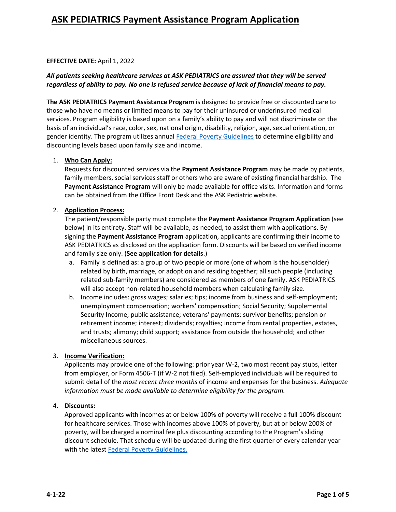#### **EFFECTIVE DATE:** April 1, 2022

#### *All patients seeking healthcare services at ASK PEDIATRICS are assured that they will be served regardless of ability to pay. No one is refused service because of lack of financial means to pay.*

**The ASK PEDIATRICS Payment Assistance Program** is designed to provide free or discounted care to those who have no means or limited means to pay for their uninsured or underinsured medical services. Program eligibility is based upon on a family's ability to pay and will not discriminate on the basis of an individual's race, color, sex, national origin, disability, religion, age, sexual orientation, or gender identity. The program utilizes annual Federal Poverty Guidelines to determine eligibility and discounting levels based upon family size and income.

#### 1. **Who Can Apply:**

Requests for discounted services via the **Payment Assistance Program** may be made by patients, family members, social services staff or others who are aware of existing financial hardship. The **Payment Assistance Program** will only be made available for office visits. Information and forms can be obtained from the Office Front Desk and the ASK Pediatric website.

#### 2. **Application Process:**

The patient/responsible party must complete the **Payment Assistance Program Application** (see below) in its entirety. Staff will be available, as needed, to assist them with applications. By signing the **Payment Assistance Program** application, applicants are confirming their income to ASK PEDIATRICS as disclosed on the application form. Discounts will be based on verified income and family size only. (**See application for details**.)

- a. Family is defined as: a group of two people or more (one of whom is the householder) related by birth, marriage, or adoption and residing together; all such people (including related sub-family members) are considered as members of one family. ASK PEDIATRICS will also accept non-related household members when calculating family size.
- b. Income includes: gross wages; salaries; tips; income from business and self-employment; unemployment compensation; workers' compensation; Social Security; Supplemental Security Income; public assistance; veterans' payments; survivor benefits; pension or retirement income; interest; dividends; royalties; income from rental properties, estates, and trusts; alimony; child support; assistance from outside the household; and other miscellaneous sources.

#### 3. **Income Verification:**

Applicants may provide one of the following: prior year W-2, two most recent pay stubs, letter from employer, or Form 4506-T (if W-2 not filed). Self-employed individuals will be required to submit detail of the *most recent three months* of income and expenses for the business. *Adequate information must be made available to determine eligibility for the program.*

#### 4. **Discounts:**

Approved applicants with incomes at or below 100% of poverty will receive a full 100% discount for healthcare services. Those with incomes above 100% of poverty, but at or below 200% of poverty, will be charged a nominal fee plus discounting according to the Program's sliding discount schedule. That schedule will be updated during the first quarter of every calendar year with the latest Federal Poverty Guidelines.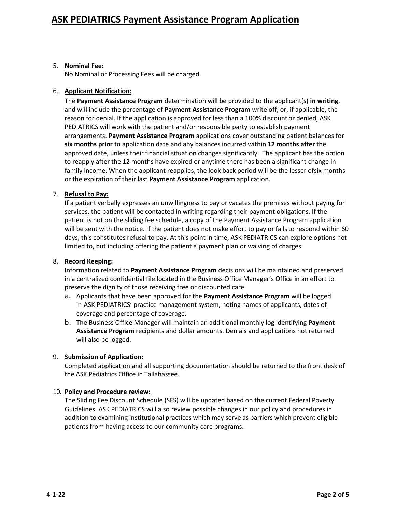#### 5. **Nominal Fee:**

No Nominal or Processing Fees will be charged.

#### 6. **Applicant Notification:**

The **Payment Assistance Program** determination will be provided to the applicant(s) **in writing**, and will include the percentage of **Payment Assistance Program** write off, or, if applicable, the reason for denial. If the application is approved for less than a 100% discount or denied, ASK PEDIATRICS will work with the patient and/or responsible party to establish payment arrangements. **Payment Assistance Program** applications cover outstanding patient balances for **six months prior** to application date and any balances incurred within **12 months after** the approved date, unless their financial situation changes significantly. The applicant has the option to reapply after the 12 months have expired or anytime there has been a significant change in family income. When the applicant reapplies, the look back period will be the lesser ofsix months or the expiration of their last **Payment Assistance Program** application.

### 7. **Refusal to Pay:**

If a patient verbally expresses an unwillingness to pay or vacates the premises without paying for services, the patient will be contacted in writing regarding their payment obligations. If the patient is not on the sliding fee schedule, a copy of the Payment Assistance Program application will be sent with the notice. If the patient does not make effort to pay or fails to respond within 60 days, this constitutes refusal to pay. At this point in time, ASK PEDIATRICS can explore options not limited to, but including offering the patient a payment plan or waiving of charges.

#### 8. **Record Keeping:**

Information related to **Payment Assistance Program** decisions will be maintained and preserved in a centralized confidential file located in the Business Office Manager's Office in an effort to preserve the dignity of those receiving free or discounted care.

- a. Applicants that have been approved for the **Payment Assistance Program** will be logged in ASK PEDIATRICS' practice management system, noting names of applicants, dates of coverage and percentage of coverage.
- b. The Business Office Manager will maintain an additional monthly log identifying **Payment Assistance Program** recipients and dollar amounts. Denials and applications not returned will also be logged.

#### 9. **Submission of Application:**

Completed application and all supporting documentation should be returned to the front desk of the ASK Pediatrics Office in Tallahassee.

#### 10. **Policy and Procedure review:**

The Sliding Fee Discount Schedule (SFS) will be updated based on the current Federal Poverty Guidelines. ASK PEDIATRICS will also review possible changes in our policy and procedures in addition to examining institutional practices which may serve as barriers which prevent eligible patients from having access to our community care programs.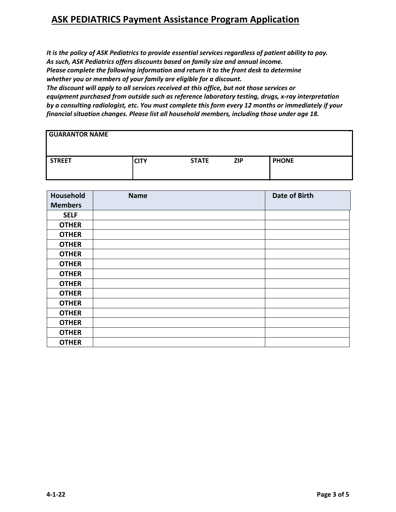## **ASK PEDIATRICS Payment Assistance Program Application**

 *It is the policy of ASK Pediatrics to provide essential services regardless of patient ability to pay. As such, ASK Pediatrics offers discounts based on family size and annual income. Please complete the following information and return it to the front desk to determine whether you or members of your family are eligible for a discount.*

*The discount will apply to all services received at this office, but not those services or equipment purchased from outside such as reference laboratory testing, drugs, x-ray interpretation by a consulting radiologist, etc. You must complete this form every 12 months or immediately if your financial situation changes. Please list all household members, including those under age 18.*

| <b>GUARANTOR NAME</b> |             |              |            |              |
|-----------------------|-------------|--------------|------------|--------------|
| STREET                | <b>CITY</b> | <b>STATE</b> | <b>ZIP</b> | <b>PHONE</b> |

| Household      | <b>Name</b> | <b>Date of Birth</b> |
|----------------|-------------|----------------------|
| <b>Members</b> |             |                      |
| <b>SELF</b>    |             |                      |
| <b>OTHER</b>   |             |                      |
| <b>OTHER</b>   |             |                      |
| <b>OTHER</b>   |             |                      |
| <b>OTHER</b>   |             |                      |
| <b>OTHER</b>   |             |                      |
| <b>OTHER</b>   |             |                      |
| <b>OTHER</b>   |             |                      |
| <b>OTHER</b>   |             |                      |
| <b>OTHER</b>   |             |                      |
| <b>OTHER</b>   |             |                      |
| <b>OTHER</b>   |             |                      |
| <b>OTHER</b>   |             |                      |
| <b>OTHER</b>   |             |                      |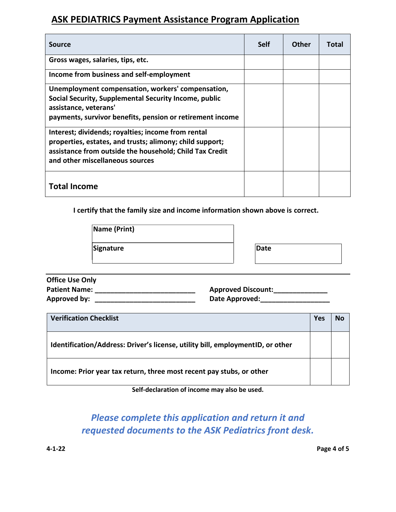## **ASK PEDIATRICS Payment Assistance Program Application**

| <b>Source</b>                                                                                                                                                                                                | <b>Self</b> | Other | Total |
|--------------------------------------------------------------------------------------------------------------------------------------------------------------------------------------------------------------|-------------|-------|-------|
| Gross wages, salaries, tips, etc.                                                                                                                                                                            |             |       |       |
| Income from business and self-employment                                                                                                                                                                     |             |       |       |
| Unemployment compensation, workers' compensation,<br>Social Security, Supplemental Security Income, public<br>assistance, veterans'<br>payments, survivor benefits, pension or retirement income             |             |       |       |
| Interest; dividends; royalties; income from rental<br>properties, estates, and trusts; alimony; child support;<br>assistance from outside the household; Child Tax Credit<br>and other miscellaneous sources |             |       |       |
| <b>Total Income</b>                                                                                                                                                                                          |             |       |       |

**I certify that the family size and income information shown above is correct.**

| Name (Print) |      |
|--------------|------|
| Signature    | Date |

| <b>Office Use Only</b> |                           |
|------------------------|---------------------------|
| <b>Patient Name:</b>   | <b>Approved Discount:</b> |
| Approved by:           | Date Approved:            |

| <b>Verification Checklist</b>                                                   | Yes | No |
|---------------------------------------------------------------------------------|-----|----|
| Identification/Address: Driver's license, utility bill, employment ID, or other |     |    |
| Income: Prior year tax return, three most recent pay stubs, or other            |     |    |

**Self-declaration of income may also be used.**

# *Please complete this application and return it and requested documents to the ASK Pediatrics front desk.*